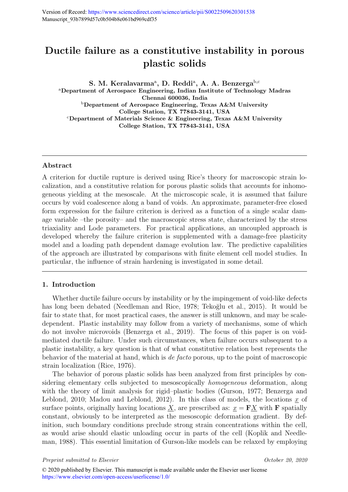# Ductile failure as a constitutive instability in porous plastic solids

S. M. Keralavarma<sup>a</sup>, D. Reddi<sup>a</sup>, A. A. Benzerga<sup>b,c</sup> <sup>a</sup>Department of Aerospace Engineering, Indian Institute of Technology Madras Chennai 600036, India <sup>b</sup>Department of Aerospace Engineering, Texas A&M University College Station, TX 77843-3141, USA  $c$ Department of Materials Science & Engineering, Texas A&M University College Station, TX 77843-3141, USA

# Abstract

A criterion for ductile rupture is derived using Rice's theory for macroscopic strain localization, and a constitutive relation for porous plastic solids that accounts for inhomogeneous yielding at the mesoscale. At the microscopic scale, it is assumed that failure occurs by void coalescence along a band of voids. An approximate, parameter-free closed form expression for the failure criterion is derived as a function of a single scalar damage variable –the porosity– and the macroscopic stress state, characterized by the stress triaxiality and Lode parameters. For practical applications, an uncoupled approach is developed whereby the failure criterion is supplemented with a damage-free plasticity model and a loading path dependent damage evolution law. The predictive capabilities of the approach are illustrated by comparisons with finite element cell model studies. In particular, the influence of strain hardening is investigated in some detail.

# 1. Introduction

Whether ductile failure occurs by instability or by the impingement of void-like defects has long been debated (Needleman and Rice, 1978; Tekoğlu et al., 2015). It would be fair to state that, for most practical cases, the answer is still unknown, and may be scaledependent. Plastic instability may follow from a variety of mechanisms, some of which do not involve microvoids (Benzerga et al., 2019). The focus of this paper is on voidmediated ductile failure. Under such circumstances, when failure occurs subsequent to a plastic instability, a key question is that of what constitutive relation best represents the behavior of the material at hand, which is de facto porous, up to the point of macroscopic strain localization (Rice, 1976).

The behavior of porous plastic solids has been analyzed from first principles by considering elementary cells subjected to mesoscopically homogeneous deformation, along with the theory of limit analysis for rigid–plastic bodies (Gurson, 1977; Benzerga and Leblond, 2010; Madou and Leblond, 2012). In this class of models, the locations  $\underline{x}$  of surface points, originally having locations X, are prescribed as:  $x = F X$  with F spatially constant, obviously to be interpreted as the mesoscopic deformation gradient. By definition, such boundary conditions preclude strong strain concentrations within the cell, as would arise should elastic unloading occur in parts of the cell (Koplik and Needleman, 1988). This essential limitation of Gurson-like models can be relaxed by employing

Preprint submitted to Elsevier Contains and the Containing Corporation of the Corporation of the Corporation of the Corporation of the Corporation of the Corporation of the Corporation of the Corporation of the Corporation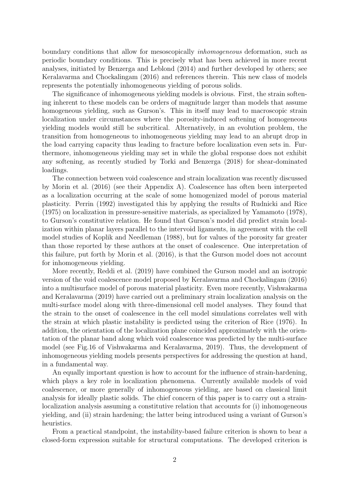boundary conditions that allow for mesoscopically inhomogeneous deformation, such as periodic boundary conditions. This is precisely what has been achieved in more recent analyses, initiated by Benzerga and Leblond (2014) and further developed by others; see Keralavarma and Chockalingam (2016) and references therein. This new class of models represents the potentially inhomogeneous yielding of porous solids.

The significance of inhomogeneous yielding models is obvious. First, the strain softening inherent to these models can be orders of magnitude larger than models that assume homogeneous yielding, such as Gurson's. This in itself may lead to macroscopic strain localization under circumstances where the porosity-induced softening of homogeneous yielding models would still be subcritical. Alternatively, in an evolution problem, the transition from homogeneous to inhomogeneous yielding may lead to an abrupt drop in the load carrying capacity thus leading to fracture before localization even sets in. Furthermore, inhomogeneous yielding may set in while the global response does not exhibit any softening, as recently studied by Torki and Benzerga (2018) for shear-dominated loadings.

The connection between void coalescence and strain localization was recently discussed by Morin et al. (2016) (see their Appendix A). Coalescence has often been interpreted as a localization occurring at the scale of some homogenized model of porous material plasticity. Perrin (1992) investigated this by applying the results of Rudnicki and Rice (1975) on localization in pressure-sensitive materials, as specialized by Yamamoto (1978), to Gurson's constitutive relation. He found that Gurson's model did predict strain localization within planar layers parallel to the intervoid ligaments, in agreement with the cell model studies of Koplik and Needleman (1988), but for values of the porosity far greater than those reported by these authors at the onset of coalescence. One interpretation of this failure, put forth by Morin et al. (2016), is that the Gurson model does not account for inhomogeneous yielding.

More recently, Reddi et al. (2019) have combined the Gurson model and an isotropic version of the void coalescence model proposed by Keralavarma and Chockalingam (2016) into a multisurface model of porous material plasticity. Even more recently, Vishwakarma and Keralavarma (2019) have carried out a preliminary strain localization analysis on the multi-surface model along with three-dimensional cell model analyses. They found that the strain to the onset of coalescence in the cell model simulations correlates well with the strain at which plastic instability is predicted using the criterion of Rice (1976). In addition, the orientation of the localization plane coincided approximately with the orientation of the planar band along which void coalescence was predicted by the multi-surface model (see Fig.16 of Vishwakarma and Keralavarma, 2019). Thus, the development of inhomogeneous yielding models presents perspectives for addressing the question at hand, in a fundamental way.

An equally important question is how to account for the influence of strain-hardening, which plays a key role in localization phenomena. Currently available models of void coalescence, or more generally of inhomogeneous yielding, are based on classical limit analysis for ideally plastic solids. The chief concern of this paper is to carry out a strainlocalization analysis assuming a constitutive relation that accounts for (i) inhomogeneous yielding, and (ii) strain hardening; the latter being introduced using a variant of Gurson's heuristics.

From a practical standpoint, the instability-based failure criterion is shown to bear a closed-form expression suitable for structural computations. The developed criterion is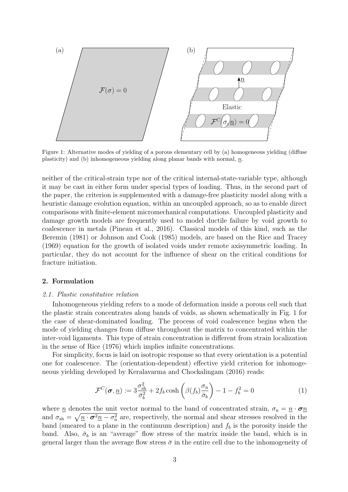

Figure 1: Alternative modes of yielding of a porous elementary cell by (a) homogeneous yielding (diffuse plasticity) and (b) inhomogeneous yielding along planar bands with normal,  $n$ .

neither of the critical-strain type nor of the critical internal-state-variable type, although it may be cast in either form under special types of loading. Thus, in the second part of the paper, the criterion is supplemented with a damage-free plasticity model along with a heuristic damage evolution equation, within an uncoupled approach, so as to enable direct comparisons with finite-element micromechanical computations. Uncoupled plasticity and damage growth models are frequently used to model ductile failure by void growth to coalescence in metals (Pineau et al., 2016). Classical models of this kind, such as the Beremin (1981) or Johnson and Cook (1985) models, are based on the Rice and Tracey (1969) equation for the growth of isolated voids under remote axisymmetric loading. In particular, they do not account for the influence of shear on the critical conditions for fracture initiation.

# 2. Formulation

#### 2.1. Plastic constitutive relation

Inhomogeneous yielding refers to a mode of deformation inside a porous cell such that the plastic strain concentrates along bands of voids, as shown schematically in Fig. 1 for the case of shear-dominated loading. The process of void coalescence begins when the mode of yielding changes from diffuse throughout the matrix to concentrated within the inter-void ligaments. This type of strain concentration is different from strain localization in the sense of Rice (1976) which implies infinite concentrations.

For simplicity, focus is laid on isotropic response so that every orientation is a potential one for coalescence. The (orientation-dependent) effective yield criterion for inhomogeneous yielding developed by Keralavarma and Chockalingam (2016) reads:

$$
\mathcal{F}^C(\boldsymbol{\sigma}, \underline{n}) := 3 \frac{\sigma_{\text{sh}}^2}{\bar{\sigma}_b^2} + 2 f_b \cosh\left(\beta (f_b) \frac{\sigma_n}{\bar{\sigma}_b}\right) - 1 - f_b^2 = 0 \tag{1}
$$

where <u>n</u> denotes the unit vector normal to the band of concentrated strain,  $\sigma_n = n \cdot \sigma_n$ and  $\sigma_{sh} = \sqrt{\underline{n} \cdot \sigma^2 \underline{n} - \sigma_n^2}$  are, respectively, the normal and shear stresses resolved in the band (smeared to a plane in the continuum description) and  $f_b$  is the porosity inside the band. Also,  $\bar{\sigma}_b$  is an "average" flow stress of the matrix inside the band, which is in general larger than the average flow stress  $\bar{\sigma}$  in the entire cell due to the inhomogeneity of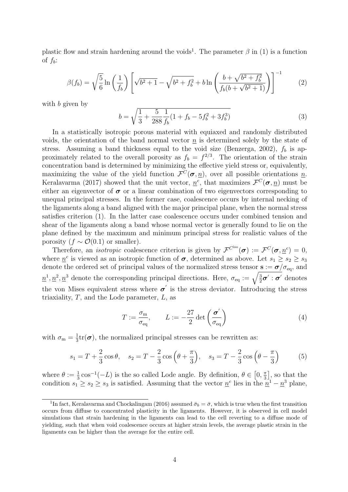plastic flow and strain hardening around the voids<sup>1</sup>. The parameter  $\beta$  in (1) is a function of  $f_b$ :

$$
\beta(f_b) = \sqrt{\frac{5}{6}} \ln \left( \frac{1}{f_b} \right) \left[ \sqrt{b^2 + 1} - \sqrt{b^2 + f_b^2} + b \ln \left( \frac{b + \sqrt{b^2 + f_b^2}}{f_b(b + \sqrt{b^2 + 1})} \right) \right]^{-1} \tag{2}
$$

with b given by

$$
b = \sqrt{\frac{1}{3} + \frac{5}{288} \frac{1}{f_b} (1 + f_b - 5f_b^2 + 3f_b^3)}
$$
(3)

In a statistically isotropic porous material with equiaxed and randomly distributed voids, the orientation of the band normal vector  $\underline{n}$  is determined solely by the state of stress. Assuming a band thickness equal to the void size (Benzerga, 2002),  $f_b$  is approximately related to the overall porosity as  $f_b = f^{2/3}$ . The orientation of the strain concentration band is determined by minimizing the effective yield stress or, equivalently, maximizing the value of the yield function  $\mathcal{F}^C(\sigma, \underline{n})$ , over all possible orientations  $\underline{n}$ . Keralavarma (2017) showed that the unit vector,  $\underline{n}^c$ , that maximizes  $\mathcal{F}^C(\sigma, \underline{n})$  must be either an eigenvector of  $\sigma$  or a linear combination of two eigenvectors corresponding to unequal principal stresses. In the former case, coalescence occurs by internal necking of the ligaments along a band aligned with the major principal plane, when the normal stress satisfies criterion (1). In the latter case coalescence occurs under combined tension and shear of the ligaments along a band whose normal vector is generally found to lie on the plane defined by the maximum and minimum principal stress for realistic values of the porosity  $(f \sim \mathcal{O}(0.1)$  or smaller).

Therefore, an *isotropic* coalescence criterion is given by  $\mathcal{F}^{C^{iso}}(\sigma) := \mathcal{F}^C(\sigma, \underline{n}^c) = 0$ , where  $\underline{n}^c$  is viewed as an isotropic function of  $\sigma$ , determined as above. Let  $s_1 \geq s_2 \geq s_3$ denote the ordered set of principal values of the normalized stress tensor  $s := \sigma/\sigma_{\text{eq}}$ , and  $\underline{n}^1, \underline{n}^2, \underline{n}^3$  denote the corresponding principal directions. Here,  $\sigma_{eq} := \sqrt{\frac{3}{2}}$  $\frac{3}{2}\boldsymbol{\sigma}':\boldsymbol{\sigma}'$  denotes the von Mises equivalent stress where  $\sigma'$  is the stress deviator. Introducing the stress triaxiality,  $T$ , and the Lode parameter,  $L$ , as

$$
T := \frac{\sigma_{\rm m}}{\sigma_{\rm eq}}, \qquad L := -\frac{27}{2} \det \left( \frac{\sigma'}{\sigma_{\rm eq}} \right) \tag{4}
$$

with  $\sigma_{\rm m}=\frac{1}{3}$  $\frac{1}{3}$ tr( $\sigma$ ), the normalized principal stresses can be rewritten as:

$$
s_1 = T + \frac{2}{3}\cos\theta
$$
,  $s_2 = T - \frac{2}{3}\cos\left(\theta + \frac{\pi}{3}\right)$ ,  $s_3 = T - \frac{2}{3}\cos\left(\theta - \frac{\pi}{3}\right)$  (5)

where  $\theta := \frac{1}{3} \cos^{-1}(-L)$  is the so called Lode angle. By definition,  $\theta \in [0, \frac{\pi}{3}]$  $\left[\frac{\pi}{3}\right]$ , so that the condition  $s_1 \geq s_2 \geq s_3$  is satisfied. Assuming that the vector  $\underline{n}^c$  lies in the  $\underline{n}^1 - \underline{n}^3$  plane,

<sup>&</sup>lt;sup>1</sup>In fact, Keralavarma and Chockalingam (2016) assumed  $\bar{\sigma}_b = \bar{\sigma}$ , which is true when the first transition occurs from diffuse to concentrated plasticity in the ligaments. However, it is observed in cell model simulations that strain hardening in the ligaments can lead to the cell reverting to a diffuse mode of yielding, such that when void coalescence occurs at higher strain levels, the average plastic strain in the ligaments can be higher than the average for the entire cell.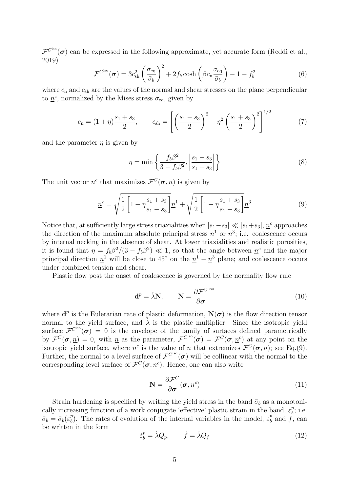$\mathcal{F}^{Ciso}(\sigma)$  can be expressed in the following approximate, yet accurate form (Reddi et al., 2019)

$$
\mathcal{F}^{C^{\text{iso}}}(\boldsymbol{\sigma}) = 3c_{\text{sh}}^2 \left(\frac{\sigma_{\text{eq}}}{\bar{\sigma}_b}\right)^2 + 2f_b \cosh\left(\beta c_n \frac{\sigma_{\text{eq}}}{\bar{\sigma}_b}\right) - 1 - f_b^2 \tag{6}
$$

where  $c_n$  and  $c_{sh}$  are the values of the normal and shear stresses on the plane perpendicular to  $\underline{n}^c$ , normalized by the Mises stress  $\sigma_{\text{eq}}$ , given by

$$
c_{\rm n} = (1+\eta)\frac{s_1+s_3}{2}, \qquad c_{\rm sh} = \left[ \left( \frac{s_1-s_3}{2} \right)^2 - \eta^2 \left( \frac{s_1+s_3}{2} \right)^2 \right]^{1/2} \tag{7}
$$

and the parameter  $\eta$  is given by

$$
\eta = \min \left\{ \frac{f_b \beta^2}{3 - f_b \beta^2}, \left| \frac{s_1 - s_3}{s_1 + s_3} \right| \right\}
$$
 (8)

The unit vector  $\underline{n}^c$  that maximizes  $\mathcal{F}^C(\sigma, \underline{n})$  is given by

$$
\underline{n}^c = \sqrt{\frac{1}{2} \left[ 1 + \eta \frac{s_1 + s_3}{s_1 - s_3} \right]} \underline{n}^1 + \sqrt{\frac{1}{2} \left[ 1 - \eta \frac{s_1 + s_3}{s_1 - s_3} \right]} \underline{n}^3
$$
(9)

Notice that, at sufficiently large stress triaxialities when  $|s_1-s_3| \ll |s_1+s_3|$ ,  $\underline{n}^c$  approaches the direction of the maximum absolute principal stress  $n^1$  or  $n^3$ ; i.e. coalescence occurs by internal necking in the absence of shear. At lower triaxialities and realistic porosities, it is found that  $\eta = f_b \beta^2/(3 - f_b \beta^2) \ll 1$ , so that the angle between  $\underline{n}^c$  and the major principal direction  $\underline{n}^1$  will be close to 45<sup>°</sup> on the  $\underline{n}^1 - \underline{n}^3$  plane; and coalescence occurs under combined tension and shear.

Plastic flow post the onset of coalescence is governed by the normality flow rule

$$
\mathbf{d}^p = \dot{\lambda} \mathbf{N}, \qquad \mathbf{N} = \frac{\partial \mathcal{F}^{C^{\text{ iso}}}}{\partial \sigma}
$$
(10)

where  $\mathbf{d}^p$  is the Eulerarian rate of plastic deformation,  $\mathbf{N}(\boldsymbol{\sigma})$  is the flow direction tensor normal to the yield surface, and  $\lambda$  is the plastic multiplier. Since the isotropic yield surface  $\mathcal{F}^{C^{iso}}(\sigma) = 0$  is the envelope of the family of surfaces defined parametrically by  $\mathcal{F}^C(\sigma, \underline{n}) = 0$ , with  $\underline{n}$  as the parameter,  $\mathcal{F}^{C_{\text{iso}}}(\sigma) = \mathcal{F}^C(\sigma, \underline{n}^c)$  at any point on the isotropic yield surface, where  $\underline{n}^c$  is the value of  $\underline{n}$  that extremizes  $\mathcal{F}^C(\sigma, \underline{n})$ ; see Eq.(9). Further, the normal to a level surface of  $\mathcal{F}^{C^{iso}}(\sigma)$  will be collinear with the normal to the corresponding level surface of  $\mathcal{F}^C(\sigma, \underline{n}^c)$ . Hence, one can also write

$$
\mathbf{N} = \frac{\partial \mathcal{F}^C}{\partial \sigma}(\boldsymbol{\sigma}, \underline{n}^c)
$$
(11)

Strain hardening is specified by writing the yield stress in the band  $\bar{\sigma}_b$  as a monotonically increasing function of a work conjugate 'effective' plastic strain in the band,  $\varepsilon_h^p$  $\frac{p}{b}$ ; i.e.  $\bar{\sigma}_b = \bar{\sigma}_b (\varepsilon^p_b)$ <sup>p</sup><sub>b</sub>). The rates of evolution of the internal variables in the model,  $\varepsilon_b^p$  $\frac{p}{b}$  and f, can be written in the form

$$
\varepsilon_b^p = \dot{\lambda} Q_p, \qquad \dot{f} = \dot{\lambda} Q_f \tag{12}
$$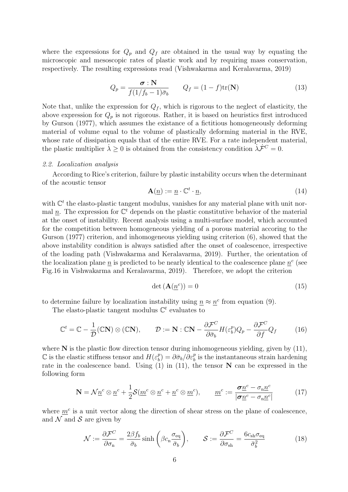where the expressions for  $Q_p$  and  $Q_f$  are obtained in the usual way by equating the microscopic and mesoscopic rates of plastic work and by requiring mass conservation, respectively. The resulting expressions read (Vishwakarma and Keralavarma, 2019)

$$
Q_p = \frac{\sigma : \mathbf{N}}{f(1/f_b - 1)\bar{\sigma}_b} \qquad Q_f = (1 - f)\text{tr}(\mathbf{N})
$$
\n(13)

Note that, unlike the expression for  $Q_f$ , which is rigorous to the neglect of elasticity, the above expression for  $Q_p$  is not rigorous. Rather, it is based on heuristics first introduced by Gurson (1977), which assumes the existance of a fictitious homogeneously deforming material of volume equal to the volume of plastically deforming material in the RVE, whose rate of dissipation equals that of the entire RVE. For a rate independent material, the plastic multiplier  $\lambda \geq 0$  is obtained from the consistency condition  $\dot{\lambda} \dot{\mathcal{F}}^C = 0$ .

# 2.2. Localization analysis

According to Rice's criterion, failure by plastic instability occurs when the determinant of the acoustic tensor

$$
\mathbf{A}(\underline{n}) := \underline{n} \cdot \mathbb{C}^t \cdot \underline{n},\tag{14}
$$

with  $\mathbb{C}^t$  the elasto-plastic tangent modulus, vanishes for any material plane with unit normal  $\underline{n}$ . The expression for  $\mathbb{C}^t$  depends on the plastic constitutive behavior of the material at the onset of instability. Recent analysis using a multi-surface model, which accounted for the competition between homogeneous yielding of a porous material accoring to the Gurson (1977) criterion, and inhomogeneous yielding using criterion (6), showed that the above instability condition is always satisfied after the onset of coalescence, irrespective of the loading path (Vishwakarma and Keralavarma, 2019). Further, the orientation of the localization plane  $\underline{n}$  is predicted to be nearly identical to the coalescence plane  $\underline{n}^c$  (see Fig.16 in Vishwakarma and Keralavarma, 2019). Therefore, we adopt the criterion

$$
\det\left(\mathbf{A}(\underline{n}^c)\right) = 0\tag{15}
$$

to determine failure by localization instability using  $\underline{n} \approx \underline{n}^c$  from equation (9).

The elasto-plastic tangent modulus  $\mathbb{C}^t$  evaluates to

$$
\mathbb{C}^t = \mathbb{C} - \frac{1}{\mathcal{D}}(\mathbb{C}N) \otimes (\mathbb{C}N), \qquad \mathcal{D} := N : \mathbb{C}N - \frac{\partial \mathcal{F}^C}{\partial \bar{\sigma}_b} H(\varepsilon_b^p) Q_p - \frac{\partial \mathcal{F}^C}{\partial f} Q_f \tag{16}
$$

where  $N$  is the plastic flow direction tensor during inhomogeneous yielding, given by  $(11)$ ,  $\mathbb C$  is the elastic stiffness tensor and  $H(\varepsilon_b^p)$  $\partial_b^p(\partial \bar{\varepsilon}_b^p) = \partial \bar{\sigma}_b / \partial \bar{\varepsilon}_b^p$  is the instantaneous strain hardening rate in the coalescence band. Using  $(1)$  in  $(11)$ , the tensor N can be expressed in the following form

$$
\mathbf{N} = \mathcal{N}\underline{n}^c \otimes \underline{n}^c + \frac{1}{2}\mathcal{S}(\underline{m}^c \otimes \underline{n}^c + \underline{n}^c \otimes \underline{m}^c), \qquad \underline{m}^c := \frac{\sigma \underline{n}^c - \sigma_n \underline{n}^c}{|\sigma \underline{n}^c - \sigma_n \underline{n}^c|}
$$
(17)

where  $m<sup>c</sup>$  is a unit vector along the direction of shear stress on the plane of coalescence, and  $\mathcal N$  and  $\mathcal S$  are given by

$$
\mathcal{N} := \frac{\partial \mathcal{F}^C}{\partial \sigma_{\rm n}} = \frac{2\beta f_b}{\bar{\sigma}_b} \sinh\left(\beta c_{\rm n} \frac{\sigma_{\rm eq}}{\bar{\sigma}_b}\right), \qquad \mathcal{S} := \frac{\partial \mathcal{F}^C}{\partial \sigma_{\rm sh}} = \frac{6c_{\rm sh}\sigma_{\rm eq}}{\bar{\sigma}_b^2} \tag{18}
$$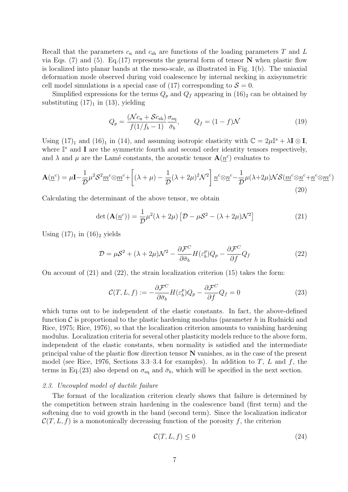Recall that the parameters  $c_n$  and  $c_{sh}$  are functions of the loading parameters T and L via Eqs. (7) and (5). Eq. (17) represents the general form of tensor  $N$  when plastic flow is localized into planar bands at the meso-scale, as illustrated in Fig. 1(b). The uniaxial deformation mode observed during void coalescence by internal necking in axisymmetric cell model simulations is a special case of (17) corresponding to  $S = 0$ .

Simplified expressions for the terms  $Q_p$  and  $Q_f$  appearing in  $(16)_2$  can be obtained by substituting  $(17)<sub>1</sub>$  in  $(13)$ , yielding

$$
Q_p = \frac{(\mathcal{N}c_n + \mathcal{S}c_{\rm sh})}{f(1/f_b - 1)} \frac{\sigma_{\rm eq}}{\bar{\sigma}_b}, \qquad Q_f = (1 - f)\mathcal{N}
$$
 (19)

Using  $(17)_1$  and  $(16)_1$  in  $(14)$ , and assuming isotropic elasticity with  $\mathbb{C} = 2\mu\mathbb{I}^s + \lambda \mathbf{I} \otimes \mathbf{I}$ , where  $\mathbb{I}^s$  and **I** are the symmetric fourth and second order identity tensors respectively, and  $\lambda$  and  $\mu$  are the Lamé constants, the acoustic tensor  $\mathbf{A}(\underline{n}^c)$  evaluates to

$$
\mathbf{A}(\underline{n}^c) = \mu \mathbf{I} - \frac{1}{\mathcal{D}} \mu^2 \mathcal{S}^2 \underline{m}^c \otimes \underline{m}^c + \left[ (\lambda + \mu) - \frac{1}{\mathcal{D}} (\lambda + 2\mu)^2 \mathcal{N}^2 \right] \underline{n}^c \otimes \underline{n}^c - \frac{1}{\mathcal{D}} \mu (\lambda + 2\mu) \mathcal{N} \mathcal{S}(\underline{m}^c \otimes \underline{n}^c + \underline{n}^c \otimes \underline{m}^c)
$$
\n(20)

Calculating the determinant of the above tensor, we obtain

$$
\det\left(\mathbf{A}(\underline{n}^c)\right) = \frac{1}{\mathcal{D}}\mu^2(\lambda + 2\mu)\left[\mathcal{D} - \mu\mathcal{S}^2 - (\lambda + 2\mu)\mathcal{N}^2\right]
$$
(21)

Using  $(17)_1$  in  $(16)_2$  yields

$$
\mathcal{D} = \mu \mathcal{S}^2 + (\lambda + 2\mu)\mathcal{N}^2 - \frac{\partial \mathcal{F}^C}{\partial \bar{\sigma}_b} H(\varepsilon_b^p) Q_p - \frac{\partial \mathcal{F}^C}{\partial f} Q_f \tag{22}
$$

On account of  $(21)$  and  $(22)$ , the strain localization criterion  $(15)$  takes the form:

$$
\mathcal{C}(T, L, f) := -\frac{\partial \mathcal{F}^C}{\partial \bar{\sigma}_b} H(\varepsilon_b^p) Q_p - \frac{\partial \mathcal{F}^C}{\partial f} Q_f = 0 \tag{23}
$$

which turns out to be independent of the elastic constants. In fact, the above-defined function  $\mathcal C$  is proportional to the plastic hardening modulus (parameter h in Rudnicki and Rice, 1975; Rice, 1976), so that the localization criterion amounts to vanishing hardening modulus. Localization criteria for several other plasticity models reduce to the above form, independent of the elastic constants, when normality is satisfied and the intermediate principal value of the plastic flow direction tensor N vanishes, as in the case of the present model (see Rice, 1976, Sections 3.3–3.4 for examples). In addition to T, L and f, the terms in Eq.(23) also depend on  $\sigma_{\text{eq}}$  and  $\bar{\sigma}_b$ , which will be specified in the next section.

## 2.3. Uncoupled model of ductile failure

The format of the localization criterion clearly shows that failure is determined by the competition between strain hardening in the coalescence band (first term) and the softening due to void growth in the band (second term). Since the localization indicator  $\mathcal{C}(T, L, f)$  is a monotonically decreasing function of the porosity f, the criterion

$$
\mathcal{C}(T, L, f) \le 0\tag{24}
$$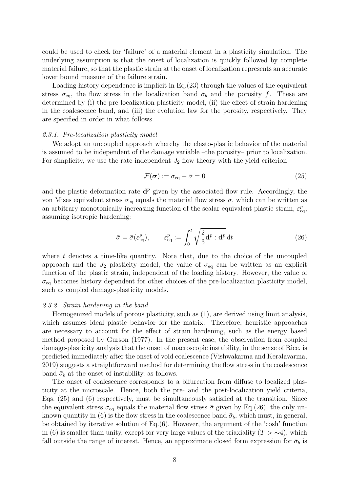could be used to check for 'failure' of a material element in a plasticity simulation. The underlying assumption is that the onset of localization is quickly followed by complete material failure, so that the plastic strain at the onset of localization represents an accurate lower bound measure of the failure strain.

Loading history dependence is implicit in Eq.(23) through the values of the equivalent stress  $\sigma_{eq}$ , the flow stress in the localization band  $\bar{\sigma}_b$  and the porosity f. These are determined by (i) the pre-localization plasticity model, (ii) the effect of strain hardening in the coalescence band, and (iii) the evolution law for the porosity, respectively. They are specified in order in what follows.

## 2.3.1. Pre-localization plasticity model

We adopt an uncoupled approach whereby the elasto-plastic behavior of the material is assumed to be independent of the damage variable –the porosity– prior to localization. For simplicity, we use the rate independent  $J_2$  flow theory with the yield criterion

$$
\mathcal{F}(\boldsymbol{\sigma}) := \sigma_{\text{eq}} - \bar{\sigma} = 0 \tag{25}
$$

and the plastic deformation rate  $\mathbf{d}^p$  given by the associated flow rule. Accordingly, the von Mises equivalent stress  $\sigma_{\text{eq}}$  equals the material flow stress  $\bar{\sigma}$ , which can be written as an arbitrary monotonically increasing function of the scalar equivalent plastic strain,  $\varepsilon_{\text{eq}}^p$ , assuming isotropic hardening:

$$
\bar{\sigma} = \bar{\sigma}(\varepsilon_{\text{eq}}^p), \qquad \varepsilon_{\text{eq}}^p := \int_0^t \sqrt{\frac{2}{3} \mathbf{d}^p : \mathbf{d}^p} \, \mathrm{d}t \tag{26}
$$

where  $t$  denotes a time-like quantity. Note that, due to the choice of the uncoupled approach and the  $J_2$  plasticity model, the value of  $\sigma_{eq}$  can be written as an explicit function of the plastic strain, independent of the loading history. However, the value of  $\sigma_{\text{eq}}$  becomes history dependent for other choices of the pre-localization plasticity model, such as coupled damage-plasticity models.

#### 2.3.2. Strain hardening in the band

Homogenized models of porous plasticity, such as (1), are derived using limit analysis, which assumes ideal plastic behavior for the matrix. Therefore, heuristic approaches are necessary to account for the effect of strain hardening, such as the energy based method proposed by Gurson (1977). In the present case, the observation from coupled damage-plasticity analysis that the onset of macroscopic instability, in the sense of Rice, is predicted immediately after the onset of void coalescence (Vishwakarma and Keralavarma, 2019) suggests a straightforward method for determining the flow stress in the coalescence band  $\bar{\sigma}_b$  at the onset of instability, as follows.

The onset of coalescence corresponds to a bifurcation from diffuse to localized plasticity at the microscale. Hence, both the pre- and the post-localization yield criteria, Eqs. (25) and (6) respectively, must be simultaneously satisfied at the transition. Since the equivalent stress  $\sigma_{eq}$  equals the material flow stress  $\bar{\sigma}$  given by Eq.(26), the only unknown quantity in (6) is the flow stress in the coalescence band  $\bar{\sigma}_b$ , which must, in general, be obtained by iterative solution of Eq.(6). However, the argument of the 'cosh' function in (6) is smaller than unity, except for very large values of the triaxiality  $(T > ∼4)$ , which fall outside the range of interest. Hence, an approximate closed form expression for  $\bar{\sigma}_b$  is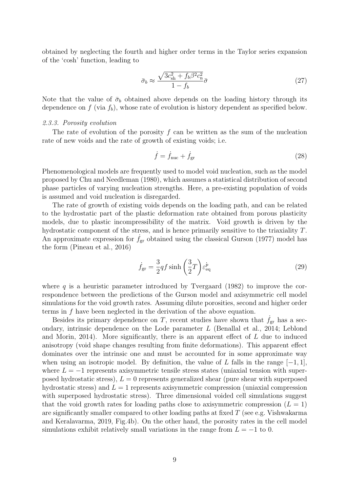obtained by neglecting the fourth and higher order terms in the Taylor series expansion of the 'cosh' function, leading to

$$
\bar{\sigma}_b \approx \frac{\sqrt{3c_{\rm sh}^2 + f_b \beta^2 c_{\rm n}^2}}{1 - f_b} \bar{\sigma}
$$
\n(27)

Note that the value of  $\bar{\sigma}_b$  obtained above depends on the loading history through its dependence on f (via  $f<sub>b</sub>$ ), whose rate of evolution is history dependent as specified below.

# 2.3.3. Porosity evolution

The rate of evolution of the porosity f can be written as the sum of the nucleation rate of new voids and the rate of growth of existing voids; i.e.

$$
\dot{f} = \dot{f}_{\text{nuc}} + \dot{f}_{\text{gr}} \tag{28}
$$

Phenomenological models are frequently used to model void nucleation, such as the model proposed by Chu and Needleman (1980), which assumes a statistical distribution of second phase particles of varying nucleation strengths. Here, a pre-existing population of voids is assumed and void nucleation is disregarded.

The rate of growth of existing voids depends on the loading path, and can be related to the hydrostatic part of the plastic deformation rate obtained from porous plasticity models, due to plastic incompressibility of the matrix. Void growth is driven by the hydrostatic component of the stress, and is hence primarily sensitive to the triaxiality T. An approximate expression for  $\dot{f}_{gr}$  obtained using the classical Gurson (1977) model has the form (Pineau et al., 2016)

$$
\dot{f}_{\rm gr} = \frac{3}{2} q f \sinh\left(\frac{3}{2}T\right) \varepsilon_{\rm eq}^{\dot{p}} \tag{29}
$$

where  $q$  is a heuristic parameter introduced by Tvergaard (1982) to improve the correspondence between the predictions of the Gurson model and axisymmetric cell model simulations for the void growth rates. Assuming dilute porosities, second and higher order terms in f have been neglected in the derivation of the above equation.

Besides its primary dependence on T, recent studies have shown that  $f_{gr}$  has a secondary, intrinsic dependence on the Lode parameter L (Benallal et al., 2014; Leblond and Morin, 2014). More significantly, there is an apparent effect of L due to induced anisotropy (void shape changes resulting from finite deformations). This apparent effect dominates over the intrinsic one and must be accounted for in some approximate way when using an isotropic model. By definition, the value of L falls in the range  $[-1, 1]$ , where  $L = -1$  represents axisymmetric tensile stress states (uniaxial tension with superposed hydrostatic stress),  $L = 0$  represents generalized shear (pure shear with superposed hydrostatic stress) and  $L = 1$  represents axisymmetric compression (uniaxial compression with superposed hydrostatic stress). Three dimensional voided cell simulations suggest that the void growth rates for loading paths close to axisymmetric compression  $(L = 1)$ are significantly smaller compared to other loading paths at fixed  $T$  (see e.g. Vishwakarma and Keralavarma, 2019, Fig.4b). On the other hand, the porosity rates in the cell model simulations exhibit relatively small variations in the range from  $L = -1$  to 0.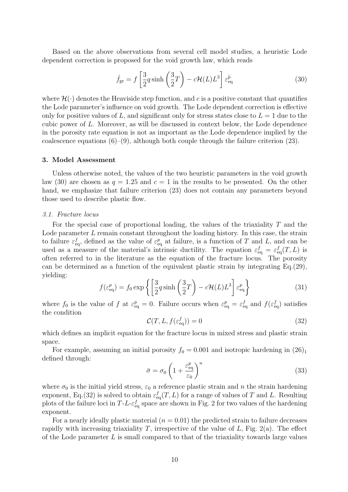Based on the above observations from several cell model studies, a heuristic Lode dependent correction is proposed for the void growth law, which reads

$$
\dot{f}_{\rm gr} = f \left[ \frac{3}{2} q \sinh \left( \frac{3}{2} T \right) - c \mathcal{H}(L) L^3 \right] \varepsilon_{\rm eq}^{\dot{p}} \tag{30}
$$

where  $\mathcal{H}(\cdot)$  denotes the Heaviside step function, and c is a positive constant that quantifies the Lode parameter's influence on void growth. The Lode dependent correction is effective only for positive values of L, and significant only for stress states close to  $L = 1$  due to the cubic power of L. Moreover, as will be discussed in context below, the Lode dependence in the porosity rate equation is not as important as the Lode dependence implied by the coalescence equations  $(6)-(9)$ , although both couple through the failure criterion  $(23)$ .

#### 3. Model Assessment

Unless otherwise noted, the values of the two heuristic parameters in the void growth law (30) are chosen as  $q = 1.25$  and  $c = 1$  in the results to be presented. On the other hand, we emphasize that failure criterion (23) does not contain any parameters beyond those used to describe plastic flow.

## 3.1. Fracture locus

For the special case of proportional loading, the values of the triaxiality T and the Lode parameter L remain constant throughout the loading history. In this case, the strain to failure  $\varepsilon_{\text{eq}}^f$ , defined as the value of  $\varepsilon_{\text{eq}}^p$  at failure, is a function of T and L, and can be used as a measure of the material's intrinsic ductility. The equation  $\varepsilon_{\text{eq}}^f = \varepsilon_{\text{eq}}^f(T, L)$  is often referred to in the literature as the equation of the fracture locus. The porosity can be determined as a function of the equivalent plastic strain by integrating Eq.(29), yielding:

$$
f(\varepsilon_{\text{eq}}^p) = f_0 \exp\left\{ \left[ \frac{3}{2} q \sinh\left( \frac{3}{2} T \right) - c \mathcal{H}(L) L^3 \right] \varepsilon_{\text{eq}}^p \right\} \tag{31}
$$

where  $f_0$  is the value of f at  $\varepsilon_{\text{eq}}^p = 0$ . Failure occurs when  $\varepsilon_{\text{eq}}^p = \varepsilon_{\text{eq}}^f$  and  $f(\varepsilon_{\text{eq}}^f)$  satisfies the condition

$$
\mathcal{C}(T, L, f(\varepsilon_{\text{eq}}^f)) = 0 \tag{32}
$$

which defines an implicit equation for the fracture locus in mixed stress and plastic strain space.

For example, assuming an initial porosity  $f_0 = 0.001$  and isotropic hardening in  $(26)_1$ defined through:

$$
\bar{\sigma} = \sigma_0 \left( 1 + \frac{\varepsilon_{\text{eq}}^p}{\varepsilon_0} \right)^n \tag{33}
$$

where  $\sigma_0$  is the initial yield stress,  $\varepsilon_0$  a reference plastic strain and n the strain hardening exponent, Eq.(32) is solved to obtain  $\varepsilon_{\text{eq}}^f(T, L)$  for a range of values of T and L. Resulting plots of the failure loci in  $T-L-\varepsilon_{\text{eq}}^f$  space are shown in Fig. 2 for two values of the hardening exponent.

For a nearly ideally plastic material  $(n = 0.01)$  the predicted strain to failure decreases rapidly with increasing triaxiality T, irrespective of the value of  $L$ , Fig. 2(a). The effect of the Lode parameter  $L$  is small compared to that of the triaxiality towards large values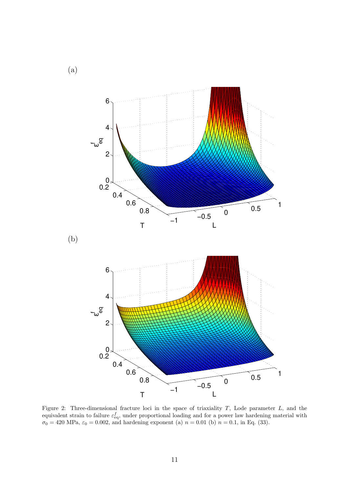

Figure 2: Three-dimensional fracture loci in the space of triaxiality T, Lode parameter L, and the equivalent strain to failure  $\varepsilon_{\text{eq}}^f$ , under proportional loading and for a power law hardening material with  $\sigma_0 = 420 \text{ MPa}, \, \varepsilon_0 = 0.002, \, \text{and hardening exponent (a) } n = 0.01 \text{ (b) } n = 0.1, \, \text{in Eq. (33)}.$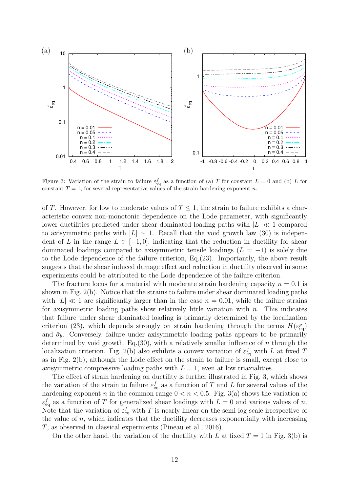

Figure 3: Variation of the strain to failure  $\varepsilon_{\text{eq}}^f$  as a function of (a) T for constant  $L = 0$  and (b) L for constant  $T = 1$ , for several representative values of the strain hardening exponent n.

of T. However, for low to moderate values of  $T \leq 1$ , the strain to failure exhibits a characteristic convex non-monotonic dependence on the Lode parameter, with significantly lower ductilities predicted under shear dominated loading paths with  $|L| \ll 1$  compared to axisymmetric paths with  $|L| \sim 1$ . Recall that the void growth law (30) is independent of L in the range  $L \in [-1, 0]$ ; indicating that the reduction in ductility for shear dominated loadings compared to axisymmetric tensile loadings  $(L = -1)$  is solely due to the Lode dependence of the failure criterion, Eq.(23). Importantly, the above result suggests that the shear induced damage effect and reduction in ductility observed in some experiments could be attributed to the Lode dependence of the failure criterion.

The fracture locus for a material with moderate strain hardening capacity  $n = 0.1$  is shown in Fig. 2(b). Notice that the strains to failure under shear dominated loading paths with  $|L| \ll 1$  are significantly larger than in the case  $n = 0.01$ , while the failure strains for axisymmetric loading paths show relatively little variation with  $n$ . This indicates that failure under shear dominated loading is primarily determined by the localization criterion (23), which depends strongly on strain hardening through the terms  $H(\varepsilon_{\text{eq}}^p)$ and  $\bar{\sigma}_b$ . Conversely, failure under axisymmetric loading paths appears to be primarily determined by void growth, Eq.  $(30)$ , with a relatively smaller influence of n through the localization criterion. Fig. 2(b) also exhibits a convex variation of  $\varepsilon_{\text{eq}}^f$  with L at fixed T as in Fig. 2(b), although the Lode effect on the strain to failure is small, except close to axisymmetric compressive loading paths with  $L = 1$ , even at low triaxialities.

The effect of strain hardening on ductility is further illustrated in Fig. 3, which shows the variation of the strain to failure  $\varepsilon_{\text{eq}}^f$  as a function of T and L for several values of the hardening exponent n in the common range  $0 < n < 0.5$ . Fig. 3(a) shows the variation of  $\varepsilon_{\text{eq}}^{f}$  as a function of T for generalized shear loadings with  $L = 0$  and various values of n. Note that the variation of  $\varepsilon_{\text{eq}}^f$  with T is nearly linear on the semi-log scale irrespective of the value of  $n$ , which indicates that the ductility decreases exponentially with increasing T, as observed in classical experiments (Pineau et al., 2016).

On the other hand, the variation of the ductility with L at fixed  $T = 1$  in Fig. 3(b) is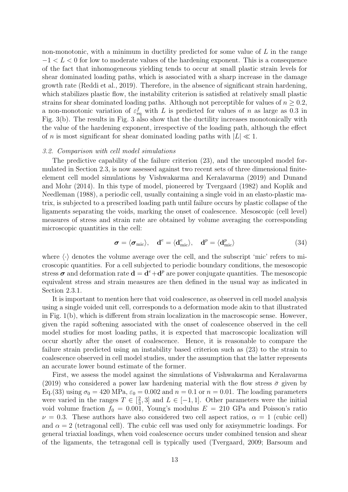non-monotonic, with a minimum in ductility predicted for some value of  $L$  in the range  $-1 < L < 0$  for low to moderate values of the hardening exponent. This is a consequence of the fact that inhomogeneous yielding tends to occur at small plastic strain levels for shear dominated loading paths, which is associated with a sharp increase in the damage growth rate (Reddi et al., 2019). Therefore, in the absence of significant strain hardening, which stabilizes plastic flow, the instability criterion is satisfied at relatively small plastic strains for shear dominated loading paths. Although not perceptible for values of  $n \geq 0.2$ , a non-monotonic variation of  $\varepsilon_{\text{eq}}^f$  with L is predicted for values of n as large as 0.3 in Fig. 3(b). The results in Fig. 3 also show that the ductility increases monotonically with the value of the hardening exponent, irrespective of the loading path, although the effect of n is most significant for shear dominated loading paths with  $|L| \ll 1$ .

#### 3.2. Comparison with cell model simulations

The predictive capability of the failure criterion (23), and the uncoupled model formulated in Section 2.3, is now assessed against two recent sets of three dimensional finiteelement cell model simulations by Vishwakarma and Keralavarma (2019) and Dunand and Mohr (2014). In this type of model, pioneered by Tvergaard (1982) and Koplik and Needleman (1988), a periodic cell, usually containing a single void in an elasto-plastic matrix, is subjected to a prescribed loading path until failure occurs by plastic collapse of the ligaments separating the voids, marking the onset of coalescence. Mesoscopic (cell level) measures of stress and strain rate are obtained by volume averaging the corresponding microscopic quantities in the cell:

$$
\boldsymbol{\sigma} = \langle \boldsymbol{\sigma}_{\text{mic}} \rangle, \quad \mathbf{d}^e = \langle \mathbf{d}_{\text{mic}}^e \rangle, \quad \mathbf{d}^p = \langle \mathbf{d}_{\text{mic}}^p \rangle \tag{34}
$$

where  $\langle \cdot \rangle$  denotes the volume average over the cell, and the subscript 'mic' refers to microscopic quantities. For a cell subjected to periodic boundary conditions, the mesoscopic stress  $\sigma$  and deformation rate  $\mathbf{d} = \mathbf{d}^e + \mathbf{d}^p$  are power conjugate quantities. The mesoscopic equivalent stress and strain measures are then defined in the usual way as indicated in Section 2.3.1.

It is important to mention here that void coalescence, as observed in cell model analysis using a single voided unit cell, corresponds to a deformation mode akin to that illustrated in Fig. 1(b), which is different from strain localization in the macroscopic sense. However, given the rapid softening associated with the onset of coalescence observed in the cell model studies for most loading paths, it is expected that macroscopic localization will occur shortly after the onset of coalescence. Hence, it is reasonable to compare the failure strain predicted using an instability based criterion such as (23) to the strain to coalescence observed in cell model studies, under the assumption that the latter represents an accurate lower bound estimate of the former.

First, we assess the model against the simulations of Vishwakarma and Keralavarma (2019) who considered a power law hardening material with the flow stress  $\bar{\sigma}$  given by Eq.(33) using  $\sigma_0 = 420 \text{ MPa}$ ,  $\varepsilon_0 = 0.002$  and  $n = 0.1$  or  $n = 0.01$ . The loading parameters were varied in the ranges  $T \in \left[\frac{2}{3}\right]$  $\frac{2}{3}$ , 3 and  $L \in [-1, 1]$ . Other parameters were the initial void volume fraction  $f_0 = 0.001$ , Young's modulus  $E = 210$  GPa and Poisson's ratio  $\nu = 0.3$ . These authors have also considered two cell aspect ratios,  $\alpha = 1$  (cubic cell) and  $\alpha = 2$  (tetragonal cell). The cubic cell was used only for axisymmetric loadings. For general triaxial loadings, when void coalescence occurs under combined tension and shear of the ligaments, the tetragonal cell is typically used (Tvergaard, 2009; Barsoum and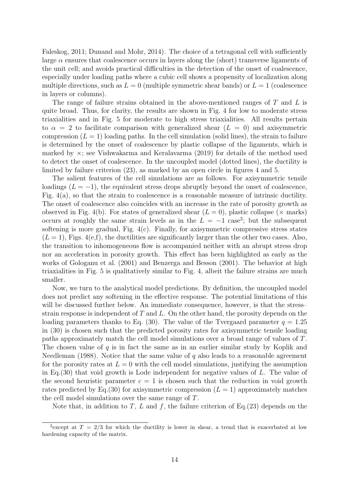Faleskog, 2011; Dunand and Mohr, 2014). The choice of a tetragonal cell with sufficiently large  $\alpha$  ensures that coalescence occurs in layers along the (short) transverse ligaments of the unit cell; and avoids practical difficulties in the detection of the onset of coalescence, especially under loading paths where a cubic cell shows a propensity of localization along multiple directions, such as  $L = 0$  (multiple symmetric shear bands) or  $L = 1$  (coalescence in layers or columns).

The range of failure strains obtained in the above-mentioned ranges of T and L is quite broad. Thus, for clarity, the results are shown in Fig. 4 for low to moderate stress triaxialities and in Fig. 5 for moderate to high stress triaxialities. All results pertain to  $\alpha = 2$  to facilitate comparison with generalized shear  $(L = 0)$  and axisymmetric compression  $(L = 1)$  loading paths. In the cell simulation (solid lines), the strain to failure is determined by the onset of coalescence by plastic collapse of the ligaments, which is marked by  $\times$ ; see Vishwakarma and Keralavarma (2019) for details of the method used to detect the onset of coalescence. In the uncoupled model (dotted lines), the ductility is limited by failure criterion (23), as marked by an open circle in figures 4 and 5.

The salient features of the cell simulations are as follows. For axisymmetric tensile loadings  $(L = -1)$ , the equivalent stress drops abruptly beyond the onset of coalescence, Fig.  $4(a)$ , so that the strain to coalescence is a reasonable measure of intrinsic ductility. The onset of coalescence also coincides with an increase in the rate of porosity growth as observed in Fig. 4(b). For states of generalized shear  $(L = 0)$ , plastic collapse ( $\times$  marks) occurs at roughly the same strain levels as in the  $L = -1$  case<sup>2</sup>; but the subsequent softening is more gradual, Fig.  $4(c)$ . Finally, for axisymmetric compressive stress states  $(L = 1)$ , Figs. 4(e,f), the ductilities are significantly larger than the other two cases. Also, the transition to inhomogeneous flow is accompanied neither with an abrupt stress drop nor an acceleration in porosity growth. This effect has been highlighted as early as the works of Gologanu et al. (2001) and Benzerga and Besson (2001). The behavior at high triaxialities in Fig. 5 is qualitatively similar to Fig. 4, albeit the failure strains are much smaller.

Now, we turn to the analytical model predictions. By definition, the uncoupled model does not predict any softening in the effective response. The potential limitations of this will be discussed further below. An immediate consequence, however, is that the stress– strain response is independent of  $T$  and  $L$ . On the other hand, the porosity depends on the loading parameters thanks to Eq. (30). The value of the Tvergaard parameter  $q = 1.25$ in (30) is chosen such that the predicted porosity rates for axisymmetric tensile loading paths approximately match the cell model simulations over a broad range of values of T. The chosen value of q is in fact the same as in an earlier similar study by Koplik and Needleman (1988). Notice that the same value of q also leads to a reasonable agreement for the porosity rates at  $L = 0$  with the cell model simulations, justifying the assumption in Eq.  $(30)$  that void growth is Lode independent for negative values of L. The value of the second heuristic parameter  $c = 1$  is chosen such that the reduction in void growth rates predicted by Eq. (30) for axisymmetric compression  $(L = 1)$  approximately matches the cell model simulations over the same range of T.

Note that, in addition to T, L and f, the failure criterion of Eq.  $(23)$  depends on the

<sup>&</sup>lt;sup>2</sup> except at  $T = 2/3$  for which the ductility is lower in shear, a trend that is exacerbated at low hardening capacity of the matrix.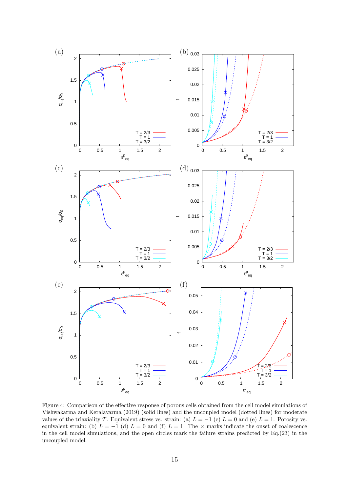

Figure 4: Comparison of the effective response of porous cells obtained from the cell model simulations of Vishwakarma and Keralavarma (2019) (solid lines) and the uncoupled model (dotted lines) for moderate values of the triaxiality T. Equivalent stress vs. strain: (a)  $L = -1$  (c)  $L = 0$  and (e)  $L = 1$ . Porosity vs. equivalent strain: (b)  $L = -1$  (d)  $L = 0$  and (f)  $L = 1$ . The × marks indicate the onset of coalescence in the cell model simulations, and the open circles mark the failure strains predicted by Eq.(23) in the uncoupled model.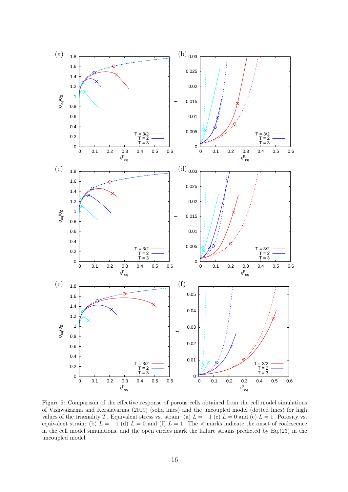

Figure 5: Comparison of the effective response of porous cells obtained from the cell model simulations of Vishwakarma and Keralavarma (2019) (solid lines) and the uncoupled model (dotted lines) for high values of the triaxiality T. Equivalent stress vs. strain: (a)  $L = -1$  (c)  $L = 0$  and (e)  $L = 1$ . Porosity vs. equivalent strain: (b)  $L = -1$  (d)  $L = 0$  and (f)  $L = 1$ . The × marks indicate the onset of coalescence in the cell model simulations, and the open circles mark the failure strains predicted by Eq.(23) in the uncoupled model.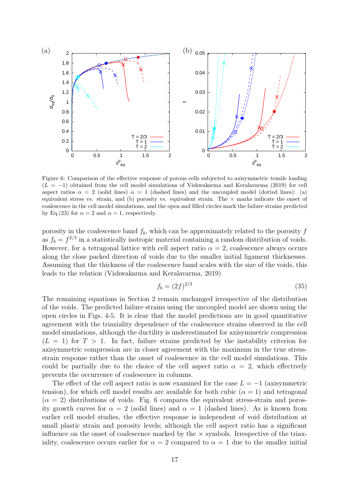

Figure 6: Comparison of the effective response of porous cells subjected to axisymmetric tensile loading  $(L = -1)$  obtained from the cell model simulations of Vishwakarma and Keralavarma (2019) for cell aspect ratios  $\alpha = 2$  (solid lines)  $\alpha = 1$  (dashed lines) and the uncoupled model (dotted lines): (a) equivalent stress vs. strain, and (b) porosity vs. equivalent strain. The  $\times$  marks indicate the onset of coalescence in the cell model simulations, and the open and filled circles mark the failure strains predicted by Eq.(23) for  $\alpha = 2$  and  $\alpha = 1$ , respectively.

porosity in the coalescence band  $f<sub>b</sub>$ , which can be approximately related to the porosity  $f$ as  $f_b = f^{2/3}$  in a statistically isotropic material containing a random distribution of voids. However, for a tetragonal lattice with cell aspect ratio  $\alpha = 2$ , coalescence always occurs along the close packed direction of voids due to the smaller initial ligament thicknesses. Assuming that the thickness of the coalescence band scales with the size of the voids, this leads to the relation (Vishwakarma and Keralavarma, 2019)

$$
f_b = (2f)^{2/3} \tag{35}
$$

The remaining equations in Section 2 remain unchanged irrespective of the distribution of the voids. The predicted failure strains using the uncoupled model are shown using the open circles in Figs. 4-5. It is clear that the model predictions are in good quantitative agreement with the triaxiality dependence of the coalescence strains observed in the cell model simulations, although the ductility is underestimated for axisymmetric compression  $(L = 1)$  for  $T > 1$ . In fact, failure strains predicted by the instability criterion for axisymmetric compression are in closer agreement with the maximum in the true stressstrain response rather than the onset of coalescence in the cell model simulations. This could be partially due to the choice of the cell aspect ratio  $\alpha = 2$ , which effectively prevents the occurrence of coalescence in columns.

The effect of the cell aspect ratio is now examined for the case  $L = -1$  (axisymmetric tension), for which cell model results are available for both cubic  $(\alpha = 1)$  and tetragonal  $(\alpha = 2)$  distributions of voids. Fig. 6 compares the equivalent stress-strain and porosity growth curves for  $\alpha = 2$  (solid lines) and  $\alpha = 1$  (dashed lines). As is known from earlier cell model studies, the effective response is independent of void distribution at small plastic strain and porosity levels; although the cell aspect ratio has a significant influence on the onset of coalescence marked by the  $\times$  symbols. Irrespective of the triaxiality, coalescence occurs earlier for  $\alpha = 2$  compared to  $\alpha = 1$  due to the smaller initial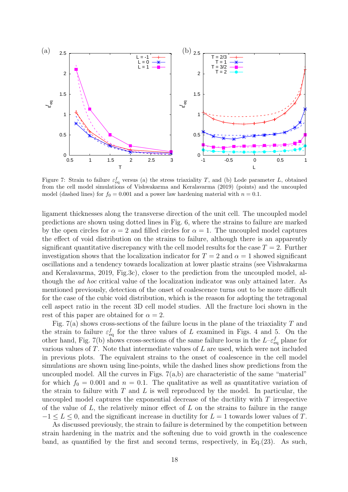

Figure 7: Strain to failure  $\varepsilon_{\text{eq}}^f$  versus (a) the stress triaxiality T, and (b) Lode parameter L, obtained from the cell model simulations of Vishwakarma and Keralavarma (2019) (points) and the uncoupled model (dashed lines) for  $f_0 = 0.001$  and a power law hardening material with  $n = 0.1$ .

ligament thicknesses along the transverse direction of the unit cell. The uncoupled model predictions are shown using dotted lines in Fig. 6, where the strains to failure are marked by the open circles for  $\alpha = 2$  and filled circles for  $\alpha = 1$ . The uncoupled model captures the effect of void distribution on the strains to failure, although there is an apparently significant quantitative discrepancy with the cell model results for the case  $T = 2$ . Further investigation shows that the localization indicator for  $T = 2$  and  $\alpha = 1$  showed significant oscillations and a tendency towards localization at lower plastic strains (see Vishwakarma and Keralavarma, 2019, Fig.3c), closer to the prediction from the uncoupled model, although the ad hoc critical value of the localization indicator was only attained later. As mentioned previously, detection of the onset of coalescence turns out to be more difficult for the case of the cubic void distribution, which is the reason for adopting the tetragonal cell aspect ratio in the recent 3D cell model studies. All the fracture loci shown in the rest of this paper are obtained for  $\alpha = 2$ .

Fig. 7(a) shows cross-sections of the failure locus in the plane of the triaxiality  $T$  and the strain to failure  $\varepsilon_{\text{eq}}^{f}$  for the three values of L examined in Figs. 4 and 5. On the other hand, Fig. 7(b) shows cross-sections of the same failure locus in the  $L-\varepsilon_{\text{eq}}^f$  plane for various values of T. Note that intermediate values of L are used, which were not included in previous plots. The equivalent strains to the onset of coalescence in the cell model simulations are shown using line-points, while the dashed lines show predictions from the uncoupled model. All the curves in Figs.  $7(a,b)$  are characteristic of the same "material" for which  $f_0 = 0.001$  and  $n = 0.1$ . The qualitative as well as quantitative variation of the strain to failure with  $T$  and  $L$  is well reproduced by the model. In particular, the uncoupled model captures the exponential decrease of the ductility with  $T$  irrespective of the value of  $L$ , the relatively minor effect of  $L$  on the strains to failure in the range  $-1 \leq L \leq 0$ , and the significant increase in ductility for  $L = 1$  towards lower values of T.

As discussed previously, the strain to failure is determined by the competition between strain hardening in the matrix and the softening due to void growth in the coalescence band, as quantified by the first and second terms, respectively, in Eq.(23). As such,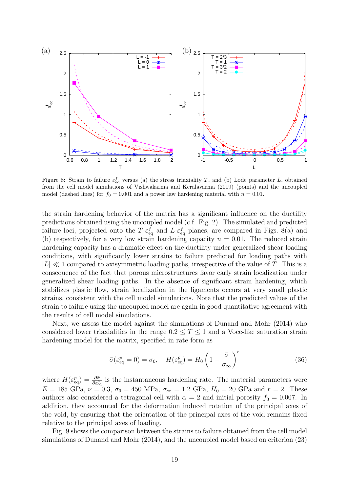

Figure 8: Strain to failure  $\varepsilon_{\text{eq}}^f$  versus (a) the stress triaxiality T, and (b) Lode parameter L, obtained from the cell model simulations of Vishwakarma and Keralavarma (2019) (points) and the uncoupled model (dashed lines) for  $f_0 = 0.001$  and a power law hardening material with  $n = 0.01$ .

the strain hardening behavior of the matrix has a significant influence on the ductility predictions obtained using the uncoupled model (c.f. Fig. 2). The simulated and predicted failure loci, projected onto the T- $\varepsilon_{\text{eq}}^f$  and L- $\varepsilon_{\text{eq}}^f$  planes, are compared in Figs. 8(a) and (b) respectively, for a very low strain hardening capacity  $n = 0.01$ . The reduced strain hardening capacity has a dramatic effect on the ductility under generalized shear loading conditions, with significantly lower strains to failure predicted for loading paths with  $|L| \ll 1$  compared to axisymmetric loading paths, irrespective of the value of T. This is a consequence of the fact that porous microstructures favor early strain localization under generalized shear loading paths. In the absence of significant strain hardening, which stabilizes plastic flow, strain localization in the ligaments occurs at very small plastic strains, consistent with the cell model simulations. Note that the predicted values of the strain to failure using the uncoupled model are again in good quantitative agreement with the results of cell model simulations.

Next, we assess the model against the simulations of Dunand and Mohr (2014) who considered lower triaxialities in the range  $0.2 \leq T \leq 1$  and a Voce-like saturation strain hardening model for the matrix, specified in rate form as

$$
\bar{\sigma}(\varepsilon_{\text{eq}}^p = 0) = \sigma_0, \quad H(\varepsilon_{\text{eq}}^p) = H_0 \left(1 - \frac{\bar{\sigma}}{\sigma_{\infty}}\right)^r \tag{36}
$$

where  $H(\varepsilon_{\text{eq}}^p) = \frac{\partial \bar{\sigma}}{\partial \varepsilon_{\text{eq}}^p}$  is the instantaneous hardening rate. The material parameters were  $E = 185 \text{ GPa}, \nu = 0.3, \sigma_0 = 450 \text{ MPa}, \sigma_{\infty} = 1.2 \text{ GPa}, H_0 = 20 \text{ GPa} \text{ and } r = 2. \text{ These}$ authors also considered a tetragonal cell with  $\alpha = 2$  and initial porosity  $f_0 = 0.007$ . In addition, they accounted for the deformation induced rotation of the principal axes of the void, by ensuring that the orientation of the principal axes of the void remains fixed relative to the principal axes of loading.

Fig. 9 shows the comparison between the strains to failure obtained from the cell model simulations of Dunand and Mohr (2014), and the uncoupled model based on criterion (23)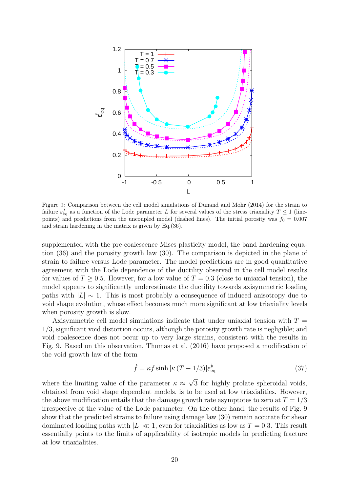

Figure 9: Comparison between the cell model simulations of Dunand and Mohr (2014) for the strain to failure  $\varepsilon_{\text{eq}}^f$  as a function of the Lode parameter L for several values of the stress triaxiality  $T \le 1$  (linepoints) and predictions from the uncoupled model (dashed lines). The initial porosity was  $f_0 = 0.007$ and strain hardening in the matrix is given by Eq.(36).

supplemented with the pre-coalescence Mises plasticity model, the band hardening equation (36) and the porosity growth law (30). The comparison is depicted in the plane of strain to failure versus Lode parameter. The model predictions are in good quantitative agreement with the Lode dependence of the ductility observed in the cell model results for values of  $T \geq 0.5$ . However, for a low value of  $T = 0.3$  (close to uniaxial tension), the model appears to significantly underestimate the ductility towards axisymmetric loading paths with  $|L| \sim 1$ . This is most probably a consequence of induced anisotropy due to void shape evolution, whose effect becomes much more significant at low triaxiality levels when porosity growth is slow.

Axisymmetric cell model simulations indicate that under uniaxial tension with  $T =$ 1/3, significant void distortion occurs, although the porosity growth rate is negligible; and void coalescence does not occur up to very large strains, consistent with the results in Fig. 9. Based on this observation, Thomas et al. (2016) have proposed a modification of the void growth law of the form

$$
\dot{f} = \kappa f \sinh \left[ \kappa \left( T - 1/3 \right) \right] \varepsilon_{\text{eq}}^{\dot{p}} \tag{37}
$$

where the limiting value of the parameter  $\kappa \approx \sqrt{3}$  for highly prolate spheroidal voids, obtained from void shape dependent models, is to be used at low triaxialities. However, the above modification entails that the damage growth rate asymptotes to zero at  $T = 1/3$ irrespective of the value of the Lode parameter. On the other hand, the results of Fig. 9 show that the predicted strains to failure using damage law (30) remain accurate for shear dominated loading paths with  $|L| \ll 1$ , even for triaxialities as low as  $T = 0.3$ . This result essentially points to the limits of applicability of isotropic models in predicting fracture at low triaxialities.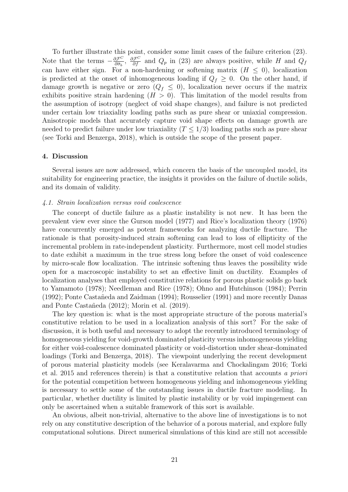To further illustrate this point, consider some limit cases of the failure criterion (23). Note that the terms  $-\frac{\partial \mathcal{F}^C}{\partial \bar{\sigma}_b}$  $\frac{\partial \mathcal{F}^C}{\partial \bar{\sigma}_b}$ ,  $\frac{\partial \mathcal{F}^C}{\partial f}$  and  $Q_p$  in (23) are always positive, while H and  $Q_f$ can have either sign. For a non-hardening or softening matrix  $(H \leq 0)$ , localization is predicted at the onset of inhomogeneous loading if  $Q_f \geq 0$ . On the other hand, if damage growth is negative or zero  $(Q_f \leq 0)$ , localization never occurs if the matrix exhibits positive strain hardening  $(H > 0)$ . This limitation of the model results from the assumption of isotropy (neglect of void shape changes), and failure is not predicted under certain low triaxiality loading paths such as pure shear or uniaxial compression. Anisotropic models that accurately capture void shape effects on damage growth are needed to predict failure under low triaxiality  $(T \leq 1/3)$  loading paths such as pure shear (see Torki and Benzerga, 2018), which is outside the scope of the present paper.

## 4. Discussion

Several issues are now addressed, which concern the basis of the uncoupled model, its suitability for engineering practice, the insights it provides on the failure of ductile solids, and its domain of validity.

#### 4.1. Strain localization versus void coalescence

The concept of ductile failure as a plastic instability is not new. It has been the prevalent view ever since the Gurson model (1977) and Rice's localization theory (1976) have concurrently emerged as potent frameworks for analyzing ductile fracture. The rationale is that porosity-induced strain softening can lead to loss of ellipticity of the incremental problem in rate-independent plasticity. Furthermore, most cell model studies to date exhibit a maximum in the true stress long before the onset of void coalescence by micro-scale flow localization. The intrinsic softening thus leaves the possibility wide open for a macroscopic instability to set an effective limit on ductility. Examples of localization analyses that employed constitutive relations for porous plastic solids go back to Yamamoto (1978); Needleman and Rice (1978); Ohno and Hutchinson (1984); Perrin (1992); Ponte Casta˜neda and Zaidman (1994); Rousselier (1991) and more recently Danas and Ponte Castañeda (2012); Morin et al. (2019).

The key question is: what is the most appropriate structure of the porous material's constitutive relation to be used in a localization analysis of this sort? For the sake of discussion, it is both useful and necessary to adopt the recently introduced terminology of homogeneous yielding for void-growth dominated plasticity versus inhomogeneous yielding for either void-coalescence dominated plasticity or void-distortion under shear-dominated loadings (Torki and Benzerga, 2018). The viewpoint underlying the recent development of porous material plasticity models (see Keralavarma and Chockalingam 2016; Torki et al. 2015 and references therein) is that a constitutive relation that accounts a priori for the potential competition between homogeneous yielding and inhomogeneous yielding is necessary to settle some of the outstanding issues in ductile fracture modeling. In particular, whether ductility is limited by plastic instability or by void impingement can only be ascertained when a suitable framework of this sort is available.

An obvious, albeit non-trivial, alternative to the above line of investigations is to not rely on any constitutive description of the behavior of a porous material, and explore fully computational solutions. Direct numerical simulations of this kind are still not accessible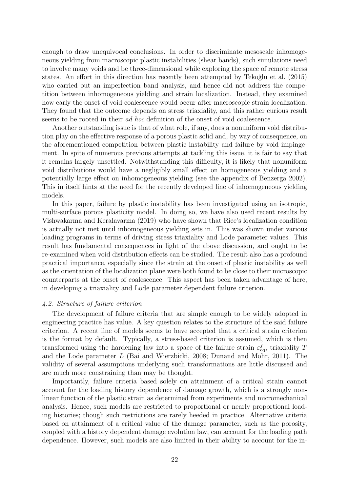enough to draw unequivocal conclusions. In order to discriminate mesoscale inhomogeneous yielding from macroscopic plastic instabilities (shear bands), such simulations need to involve many voids and be three-dimensional while exploring the space of remote stress states. An effort in this direction has recently been attempted by Tekoğlu et al. (2015) who carried out an imperfection band analysis, and hence did not address the competition between inhomogeneous yielding and strain localization. Instead, they examined how early the onset of void coalescence would occur after macroscopic strain localization. They found that the outcome depends on stress triaxiality, and this rather curious result seems to be rooted in their ad hoc definition of the onset of void coalescence.

Another outstanding issue is that of what role, if any, does a nonuniform void distribution play on the effective response of a porous plastic solid and, by way of consequence, on the aforementioned competition between plastic instability and failure by void impingement. In spite of numerous previous attempts at tackling this issue, it is fair to say that it remains largely unsettled. Notwithstanding this difficulty, it is likely that nonuniform void distributions would have a negligibly small effect on homogeneous yielding and a potentially large effect on inhomogeneous yielding (see the appendix of Benzerga 2002). This in itself hints at the need for the recently developed line of inhomogeneous yielding models.

In this paper, failure by plastic instability has been investigated using an isotropic, multi-surface porous plasticity model. In doing so, we have also used recent results by Vishwakarma and Keralavarma (2019) who have shown that Rice's localization condition is actually not met until inhomogeneous yielding sets in. This was shown under various loading programs in terms of driving stress triaxiality and Lode parameter values. This result has fundamental consequences in light of the above discussion, and ought to be re-examined when void distribution effects can be studied. The result also has a profound practical importance, especially since the strain at the onset of plastic instability as well as the orientation of the localization plane were both found to be close to their microscopic counterparts at the onset of coalescence. This aspect has been taken advantage of here, in developing a triaxiality and Lode parameter dependent failure criterion.

# 4.2. Structure of failure criterion

The development of failure criteria that are simple enough to be widely adopted in engineering practice has value. A key question relates to the structure of the said failure criterion. A recent line of models seems to have accepted that a critical strain criterion is the format by default. Typically, a stress-based criterion is assumed, which is then transformed using the hardening law into a space of the failure strain  $\varepsilon_{\text{eq}}^f$ , triaxiality T and the Lode parameter L (Bai and Wierzbicki, 2008; Dunand and Mohr, 2011). The validity of several assumptions underlying such transformations are little discussed and are much more constraining than may be thought.

Importantly, failure criteria based solely on attainment of a critical strain cannot account for the loading history dependence of damage growth, which is a strongly nonlinear function of the plastic strain as determined from experiments and micromechanical analysis. Hence, such models are restricted to proportional or nearly proportional loading histories; though such restrictions are rarely heeded in practice. Alternative criteria based on attainment of a critical value of the damage parameter, such as the porosity, coupled with a history dependent damage evolution law, can account for the loading path dependence. However, such models are also limited in their ability to account for the in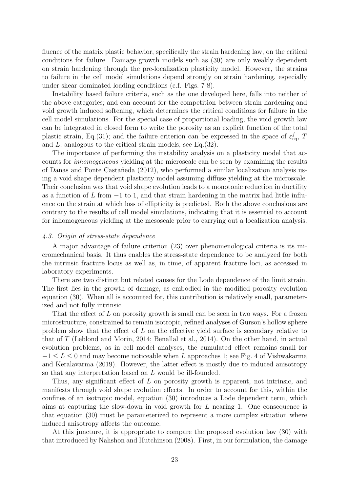fluence of the matrix plastic behavior, specifically the strain hardening law, on the critical conditions for failure. Damage growth models such as (30) are only weakly dependent on strain hardening through the pre-localization plasticity model. However, the strains to failure in the cell model simulations depend strongly on strain hardening, especially under shear dominated loading conditions (c.f. Figs. 7-8).

Instability based failure criteria, such as the one developed here, falls into neither of the above categories; and can account for the competition between strain hardening and void growth induced softening, which determines the critical conditions for failure in the cell model simulations. For the special case of proportional loading, the void growth law can be integrated in closed form to write the porosity as an explicit function of the total plastic strain, Eq.(31); and the failure criterion can be expressed in the space of  $\varepsilon_{\text{eq}}^f$ , T and L, analogous to the critical strain models; see Eq.(32).

The importance of performing the instability analysis on a plasticity model that accounts for inhomogeneous yielding at the microscale can be seen by examining the results of Danas and Ponte Casta˜neda (2012), who performed a similar localization analysis using a void shape dependent plasticity model assuming diffuse yielding at the microscale. Their conclusion was that void shape evolution leads to a monotonic reduction in ductility as a function of L from  $-1$  to 1, and that strain hardening in the matrix had little influence on the strain at which loss of ellipticity is predicted. Both the above conclusions are contrary to the results of cell model simulations, indicating that it is essential to account for inhomogeneous yielding at the mesoscale prior to carrying out a localization analysis.

# 4.3. Origin of stress-state dependence

A major advantage of failure criterion (23) over phenomenological criteria is its micromechanical basis. It thus enables the stress-state dependence to be analyzed for both the intrinsic fracture locus as well as, in time, of apparent fracture loci, as accessed in laboratory experiments.

There are two distinct but related causes for the Lode dependence of the limit strain. The first lies in the growth of damage, as embodied in the modified porosity evolution equation (30). When all is accounted for, this contribution is relatively small, parameterized and not fully intrinsic.

That the effect of  $L$  on porosity growth is small can be seen in two ways. For a frozen microstructure, constrained to remain isotropic, refined analyses of Gurson's hollow sphere problem show that the effect of L on the effective yield surface is secondary relative to that of T (Leblond and Morin, 2014; Benallal et al., 2014). On the other hand, in actual evolution problems, as in cell model analyses, the cumulated effect remains small for  $-1 \leq L \leq 0$  and may become noticeable when L approaches 1; see Fig. 4 of Vishwakarma and Keralavarma (2019). However, the latter effect is mostly due to induced anisotropy so that any interpretation based on L would be ill-founded.

Thus, any significant effect of L on porosity growth is apparent, not intrinsic, and manifests through void shape evolution effects. In order to account for this, within the confines of an isotropic model, equation (30) introduces a Lode dependent term, which aims at capturing the slow-down in void growth for L nearing 1. One consequence is that equation (30) must be parameterized to represent a more complex situation where induced anisotropy affects the outcome.

At this juncture, it is appropriate to compare the proposed evolution law (30) with that introduced by Nahshon and Hutchinson (2008). First, in our formulation, the damage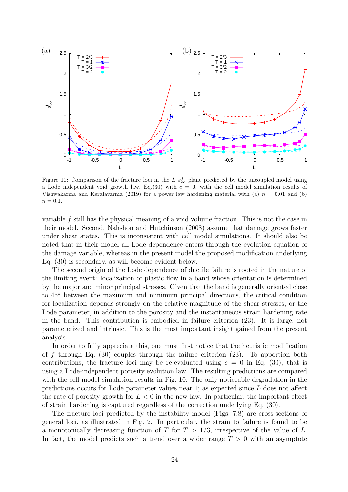

Figure 10: Comparison of the fracture loci in the  $L-\varepsilon_{\text{eq}}^f$  plane predicted by the uncoupled model using a Lode independent void growth law, Eq.(30) with  $c = 0$ , with the cell model simulation results of Vishwakarma and Keralavarma (2019) for a power law hardening material with (a)  $n = 0.01$  and (b)  $n = 0.1$ .

variable f still has the physical meaning of a void volume fraction. This is not the case in their model. Second, Nahshon and Hutchinson (2008) assume that damage grows faster under shear states. This is inconsistent with cell model simulations. It should also be noted that in their model all Lode dependence enters through the evolution equation of the damage variable, whereas in the present model the proposed modification underlying Eq. (30) is secondary, as will become evident below.

The second origin of the Lode dependence of ductile failure is rooted in the nature of the limiting event: localization of plastic flow in a band whose orientation is determined by the major and minor principal stresses. Given that the band is generally oriented close to 45◦ between the maximum and minimum principal directions, the critical condition for localization depends strongly on the relative magnitude of the shear stresses, or the Lode parameter, in addition to the porosity and the instantaneous strain hardening rate in the band. This contribution is embodied in failure criterion (23). It is large, not parameterized and intrinsic. This is the most important insight gained from the present analysis.

In order to fully appreciate this, one must first notice that the heuristic modification of f through Eq. (30) couples through the failure criterion (23). To apportion both contributions, the fracture loci may be re-evaluated using  $c = 0$  in Eq. (30), that is using a Lode-independent porosity evolution law. The resulting predictions are compared with the cell model simulation results in Fig. 10. The only noticeable degradation in the predictions occurs for Lode parameter values near 1; as expected since L does not affect the rate of porosity growth for  $L < 0$  in the new law. In particular, the important effect of strain hardening is captured regardless of the correction underlying Eq. (30).

The fracture loci predicted by the instability model (Figs. 7,8) are cross-sections of general loci, as illustrated in Fig. 2. In particular, the strain to failure is found to be a monotonically decreasing function of T for  $T > 1/3$ , irrespective of the value of L. In fact, the model predicts such a trend over a wider range  $T > 0$  with an asymptote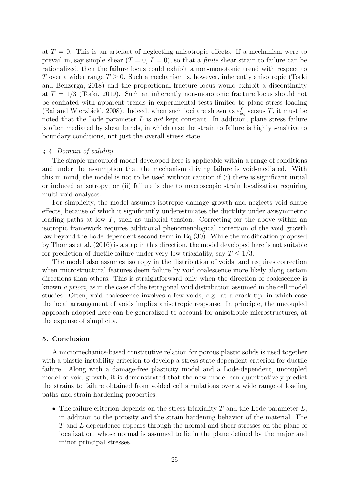at  $T = 0$ . This is an artefact of neglecting anisotropic effects. If a mechanism were to prevail in, say simple shear  $(T = 0, L = 0)$ , so that a *finite* shear strain to failure can be rationalized, then the failure locus could exhibit a non-monotonic trend with respect to T over a wider range  $T \geq 0$ . Such a mechanism is, however, inherently anisotropic (Torki and Benzerga, 2018) and the proportional fracture locus would exhibit a discontinuity at  $T = 1/3$  (Torki, 2019). Such an inherently non-monotonic fracture locus should not be conflated with apparent trends in experimental tests limited to plane stress loading (Bai and Wierzbicki, 2008). Indeed, when such loci are shown as  $\varepsilon_{\text{eq}}^f$  versus T, it must be noted that the Lode parameter  $L$  is not kept constant. In addition, plane stress failure is often mediated by shear bands, in which case the strain to failure is highly sensitive to boundary conditions, not just the overall stress state.

# 4.4. Domain of validity

The simple uncoupled model developed here is applicable within a range of conditions and under the assumption that the mechanism driving failure is void-mediated. With this in mind, the model is not to be used without caution if (i) there is significant initial or induced anisotropy; or (ii) failure is due to macroscopic strain localization requiring multi-void analyses.

For simplicity, the model assumes isotropic damage growth and neglects void shape effects, because of which it significantly underestimates the ductility under axisymmetric loading paths at low  $T$ , such as uniaxial tension. Correcting for the above within an isotropic framework requires additional phenomenological correction of the void growth law beyond the Lode dependent second term in Eq.(30). While the modification proposed by Thomas et al. (2016) is a step in this direction, the model developed here is not suitable for prediction of ductile failure under very low triaxiality, say  $T \leq 1/3$ .

The model also assumes isotropy in the distribution of voids, and requires correction when microstructural features deem failure by void coalescence more likely along certain directions than others. This is straightforward only when the direction of coalescence is known a priori, as in the case of the tetragonal void distribution assumed in the cell model studies. Often, void coalescence involves a few voids, e.g. at a crack tip, in which case the local arrangement of voids implies anisotropic response. In principle, the uncoupled approach adopted here can be generalized to account for anisotropic microstructures, at the expense of simplicity.

# 5. Conclusion

A micromechanics-based constitutive relation for porous plastic solids is used together with a plastic instability criterion to develop a stress state dependent criterion for ductile failure. Along with a damage-free plasticity model and a Lode-dependent, uncoupled model of void growth, it is demonstrated that the new model can quantitatively predict the strains to failure obtained from voided cell simulations over a wide range of loading paths and strain hardening properties.

• The failure criterion depends on the stress triaxiality  $T$  and the Lode parameter  $L$ , in addition to the porosity and the strain hardening behavior of the material. The T and L dependence appears through the normal and shear stresses on the plane of localization, whose normal is assumed to lie in the plane defined by the major and minor principal stresses.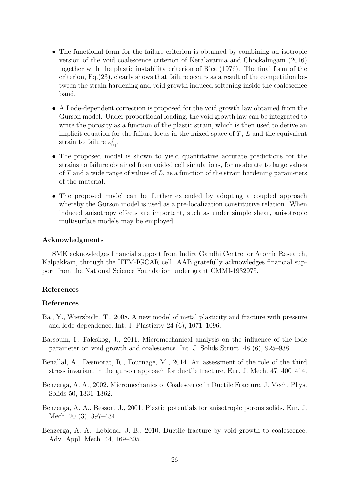- The functional form for the failure criterion is obtained by combining an isotropic version of the void coalescence criterion of Keralavarma and Chockalingam (2016) together with the plastic instability criterion of Rice (1976). The final form of the criterion, Eq.(23), clearly shows that failure occurs as a result of the competition between the strain hardening and void growth induced softening inside the coalescence band.
- A Lode-dependent correction is proposed for the void growth law obtained from the Gurson model. Under proportional loading, the void growth law can be integrated to write the porosity as a function of the plastic strain, which is then used to derive an implicit equation for the failure locus in the mixed space of  $T$ ,  $L$  and the equivalent strain to failure  $\varepsilon_{\text{eq}}^f$ .
- The proposed model is shown to yield quantitative accurate predictions for the strains to failure obtained from voided cell simulations, for moderate to large values of T and a wide range of values of  $L$ , as a function of the strain hardening parameters of the material.
- The proposed model can be further extended by adopting a coupled approach whereby the Gurson model is used as a pre-localization constitutive relation. When induced anisotropy effects are important, such as under simple shear, anisotropic multisurface models may be employed.

# Acknowledgments

SMK acknowledges financial support from Indira Gandhi Centre for Atomic Research, Kalpakkam, through the IITM-IGCAR cell. AAB gratefully acknowledges financial support from the National Science Foundation under grant CMMI-1932975.

# References

# References

- Bai, Y., Wierzbicki, T., 2008. A new model of metal plasticity and fracture with pressure and lode dependence. Int. J. Plasticity 24 (6), 1071–1096.
- Barsoum, I., Faleskog, J., 2011. Micromechanical analysis on the influence of the lode parameter on void growth and coalescence. Int. J. Solids Struct. 48 (6), 925–938.
- Benallal, A., Desmorat, R., Fournage, M., 2014. An assessment of the role of the third stress invariant in the gurson approach for ductile fracture. Eur. J. Mech. 47, 400–414.
- Benzerga, A. A., 2002. Micromechanics of Coalescence in Ductile Fracture. J. Mech. Phys. Solids 50, 1331–1362.
- Benzerga, A. A., Besson, J., 2001. Plastic potentials for anisotropic porous solids. Eur. J. Mech. 20 (3), 397–434.
- Benzerga, A. A., Leblond, J. B., 2010. Ductile fracture by void growth to coalescence. Adv. Appl. Mech. 44, 169–305.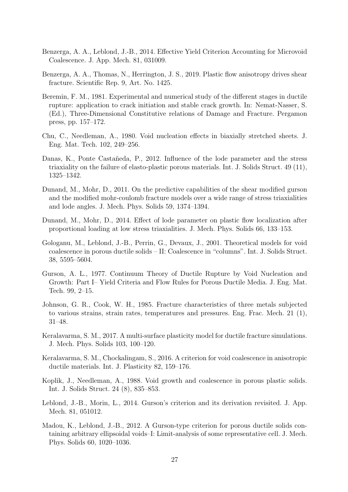- Benzerga, A. A., Leblond, J.-B., 2014. Effective Yield Criterion Accounting for Microvoid Coalescence. J. App. Mech. 81, 031009.
- Benzerga, A. A., Thomas, N., Herrington, J. S., 2019. Plastic flow anisotropy drives shear fracture. Scientific Rep. 9, Art. No. 1425.
- Beremin, F. M., 1981. Experimental and numerical study of the different stages in ductile rupture: application to crack initiation and stable crack growth. In: Nemat-Nasser, S. (Ed.), Three-Dimensional Constitutive relations of Damage and Fracture. Pergamon press, pp. 157–172.
- Chu, C., Needleman, A., 1980. Void nucleation effects in biaxially stretched sheets. J. Eng. Mat. Tech. 102, 249–256.
- Danas, K., Ponte Castañeda, P., 2012. Influence of the lode parameter and the stress triaxiality on the failure of elasto-plastic porous materials. Int. J. Solids Struct. 49 (11), 1325–1342.
- Dunand, M., Mohr, D., 2011. On the predictive capabilities of the shear modified gurson and the modified mohr-coulomb fracture models over a wide range of stress triaxialities and lode angles. J. Mech. Phys. Solids 59, 1374–1394.
- Dunand, M., Mohr, D., 2014. Effect of lode parameter on plastic flow localization after proportional loading at low stress triaxialities. J. Mech. Phys. Solids 66, 133–153.
- Gologanu, M., Leblond, J.-B., Perrin, G., Devaux, J., 2001. Theoretical models for void coalescence in porous ductile solids – II: Coalescence in "columns". Int. J. Solids Struct. 38, 5595–5604.
- Gurson, A. L., 1977. Continuum Theory of Ductile Rupture by Void Nucleation and Growth: Part I– Yield Criteria and Flow Rules for Porous Ductile Media. J. Eng. Mat. Tech. 99, 2–15.
- Johnson, G. R., Cook, W. H., 1985. Fracture characteristics of three metals subjected to various strains, strain rates, temperatures and pressures. Eng. Frac. Mech. 21 (1), 31–48.
- Keralavarma, S. M., 2017. A multi-surface plasticity model for ductile fracture simulations. J. Mech. Phys. Solids 103, 100–120.
- Keralavarma, S. M., Chockalingam, S., 2016. A criterion for void coalescence in anisotropic ductile materials. Int. J. Plasticity 82, 159–176.
- Koplik, J., Needleman, A., 1988. Void growth and coalescence in porous plastic solids. Int. J. Solids Struct. 24 (8), 835–853.
- Leblond, J.-B., Morin, L., 2014. Gurson's criterion and its derivation revisited. J. App. Mech. 81, 051012.
- Madou, K., Leblond, J.-B., 2012. A Gurson-type criterion for porous ductile solids containing arbitrary ellipsoidal voids–I: Limit-analysis of some representative cell. J. Mech. Phys. Solids 60, 1020–1036.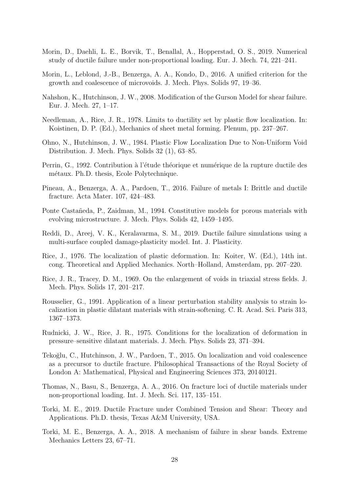- Morin, D., Daehli, L. E., Borvik, T., Benallal, A., Hopperstad, O. S., 2019. Numerical study of ductile failure under non-proportional loading. Eur. J. Mech. 74, 221–241.
- Morin, L., Leblond, J.-B., Benzerga, A. A., Kondo, D., 2016. A unified criterion for the growth and coalescence of microvoids. J. Mech. Phys. Solids 97, 19–36.
- Nahshon, K., Hutchinson, J. W., 2008. Modification of the Gurson Model for shear failure. Eur. J. Mech. 27, 1–17.
- Needleman, A., Rice, J. R., 1978. Limits to ductility set by plastic flow localization. In: Koistinen, D. P. (Ed.), Mechanics of sheet metal forming. Plenum, pp. 237–267.
- Ohno, N., Hutchinson, J. W., 1984. Plastic Flow Localization Due to Non-Uniform Void Distribution. J. Mech. Phys. Solids 32 (1), 63–85.
- Perrin, G., 1992. Contribution à l'étude théorique et numérique de la rupture ductile des métaux. Ph.D. thesis, Ecole Polytechnique.
- Pineau, A., Benzerga, A. A., Pardoen, T., 2016. Failure of metals I: Brittle and ductile fracture. Acta Mater. 107, 424–483.
- Ponte Castañeda, P., Zaidman, M., 1994. Constitutive models for porous materials with evolving microstructure. J. Mech. Phys. Solids 42, 1459–1495.
- Reddi, D., Areej, V. K., Keralavarma, S. M., 2019. Ductile failure simulations using a multi-surface coupled damage-plasticity model. Int. J. Plasticity.
- Rice, J., 1976. The localization of plastic deformation. In: Koiter, W. (Ed.), 14th int. cong. Theoretical and Applied Mechanics. North–Holland, Amsterdam, pp. 207–220.
- Rice, J. R., Tracey, D. M., 1969. On the enlargement of voids in triaxial stress fields. J. Mech. Phys. Solids 17, 201–217.
- Rousselier, G., 1991. Application of a linear perturbation stability analysis to strain localization in plastic dilatant materials with strain-softening. C. R. Acad. Sci. Paris 313, 1367–1373.
- Rudnicki, J. W., Rice, J. R., 1975. Conditions for the localization of deformation in pressure–sensitive dilatant materials. J. Mech. Phys. Solids 23, 371–394.
- Tekoğlu, C., Hutchinson, J. W., Pardoen, T., 2015. On localization and void coalescence as a precursor to ductile fracture. Philosophical Transactions of the Royal Society of London A: Mathematical, Physical and Engineering Sciences 373, 20140121.
- Thomas, N., Basu, S., Benzerga, A. A., 2016. On fracture loci of ductile materials under non-proportional loading. Int. J. Mech. Sci. 117, 135–151.
- Torki, M. E., 2019. Ductile Fracture under Combined Tension and Shear: Theory and Applications. Ph.D. thesis, Texas A&M University, USA.
- Torki, M. E., Benzerga, A. A., 2018. A mechanism of failure in shear bands. Extreme Mechanics Letters 23, 67–71.